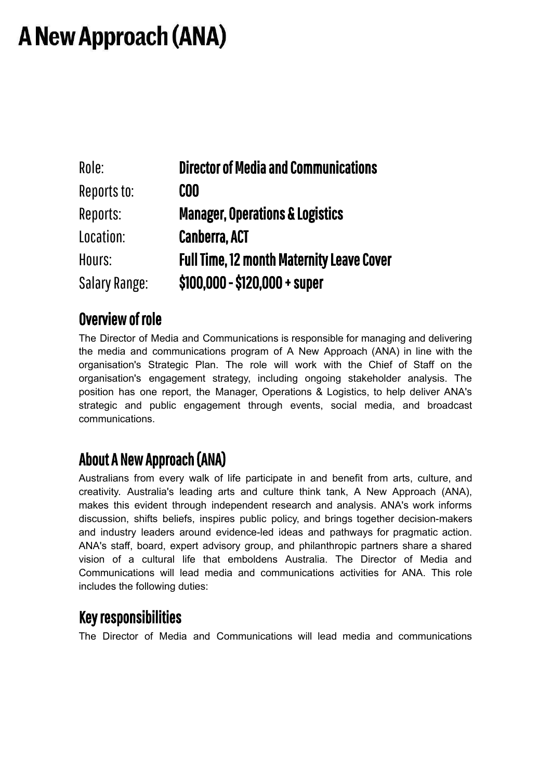# **A New Approach (ANA)**

| Role:                | <b>Director of Media and Communications</b>      |
|----------------------|--------------------------------------------------|
| Reports to:          | COO                                              |
| Reports:             | <b>Manager, Operations &amp; Logistics</b>       |
| Location:            | <b>Canberra, ACT</b>                             |
| Hours:               | <b>Full Time, 12 month Maternity Leave Cover</b> |
| <b>Salary Range:</b> | $$100,000 - $120,000 + super$                    |

### Overview of role

The Director of Media and Communications is responsible for managing and delivering the media and communications program of A New Approach (ANA) in line with the organisation's Strategic Plan. The role will work with the Chief of Staff on the organisation's engagement strategy, including ongoing stakeholder analysis. The position has one report, the Manager, Operations & Logistics, to help deliver ANA's strategic and public engagement through events, social media, and broadcast communications.

### AboutA New Approach(ANA)

Australians from every walk of life participate in and benefit from arts, culture, and creativity. Australia's leading arts and culture think tank, A New Approach (ANA), makes this evident through independent research and analysis. ANA's work informs discussion, shifts beliefs, inspires public policy, and brings together decision-makers and industry leaders around evidence-led ideas and pathways for pragmatic action. ANA's staff, board, expert advisory group, and philanthropic partners share a shared vision of a cultural life that emboldens Australia. The Director of Media and Communications will lead media and communications activities for ANA. This role includes the following duties:

### Keyresponsibilities

The Director of Media and Communications will lead media and communications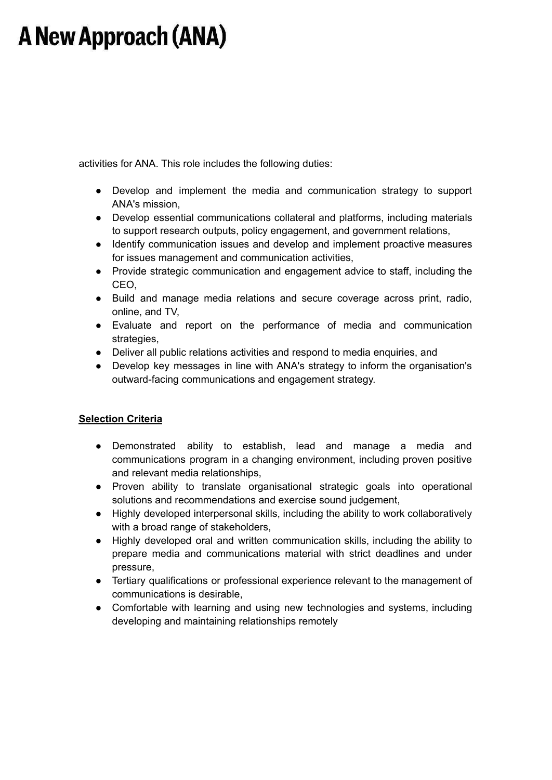## **A New Approach (ANA)**

activities for ANA. This role includes the following duties:

- Develop and implement the media and communication strategy to support ANA's mission,
- Develop essential communications collateral and platforms, including materials to support research outputs, policy engagement, and government relations,
- Identify communication issues and develop and implement proactive measures for issues management and communication activities,
- Provide strategic communication and engagement advice to staff, including the CEO,
- Build and manage media relations and secure coverage across print, radio, online, and TV,
- Evaluate and report on the performance of media and communication strategies,
- Deliver all public relations activities and respond to media enquiries, and
- Develop key messages in line with ANA's strategy to inform the organisation's outward-facing communications and engagement strategy.

#### **Selection Criteria**

- Demonstrated ability to establish, lead and manage a media and communications program in a changing environment, including proven positive and relevant media relationships,
- Proven ability to translate organisational strategic goals into operational solutions and recommendations and exercise sound judgement,
- Highly developed interpersonal skills, including the ability to work collaboratively with a broad range of stakeholders,
- Highly developed oral and written communication skills, including the ability to prepare media and communications material with strict deadlines and under pressure,
- Tertiary qualifications or professional experience relevant to the management of communications is desirable,
- Comfortable with learning and using new technologies and systems, including developing and maintaining relationships remotely